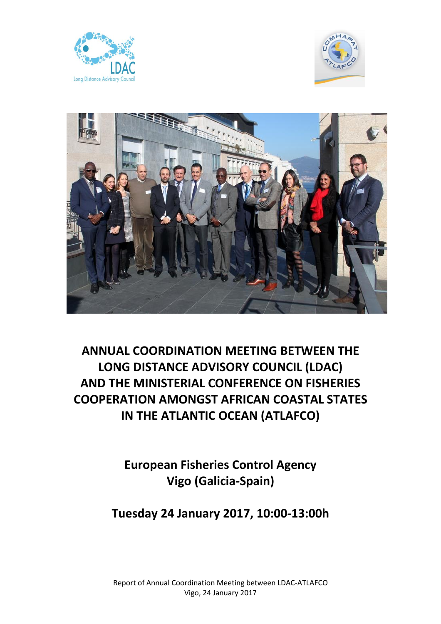





**ANNUAL COORDINATION MEETING BETWEEN THE LONG DISTANCE ADVISORY COUNCIL (LDAC) AND THE MINISTERIAL CONFERENCE ON FISHERIES COOPERATION AMONGST AFRICAN COASTAL STATES IN THE ATLANTIC OCEAN (ATLAFCO)**

> **European Fisheries Control Agency Vigo (Galicia-Spain)**

**Tuesday 24 January 2017, 10:00-13:00h**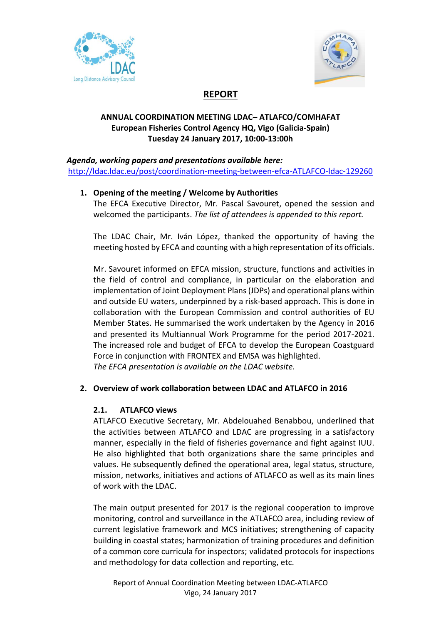



# **REPORT**

## **ANNUAL COORDINATION MEETING LDAC– ATLAFCO/COMHAFAT European Fisheries Control Agency HQ, Vigo (Galicia-Spain) Tuesday 24 January 2017, 10:00-13:00h**

#### *Agenda, working papers and presentations available here:* [http://ldac.ldac.eu/post/coordination-meeting-between-efca-ATLAFCO-ldac-129260](http://ldac.ldac.eu/post/coordination-meeting-between-efca-comhafat-ldac-129260)

# **1. Opening of the meeting / Welcome by Authorities**

The EFCA Executive Director, Mr. Pascal Savouret, opened the session and welcomed the participants. *The list of attendees is appended to this report.*

The LDAC Chair, Mr. Iván López, thanked the opportunity of having the meeting hosted by EFCA and counting with a high representation of its officials.

Mr. Savouret informed on EFCA mission, structure, functions and activities in the field of control and compliance, in particular on the elaboration and implementation of Joint Deployment Plans (JDPs) and operational plans within and outside EU waters, underpinned by a risk-based approach. This is done in collaboration with the European Commission and control authorities of EU Member States. He summarised the work undertaken by the Agency in 2016 and presented its Multiannual Work Programme for the period 2017-2021. The increased role and budget of EFCA to develop the European Coastguard Force in conjunction with FRONTEX and EMSA was highlighted. *The EFCA presentation is available on the LDAC website.*

### **2. Overview of work collaboration between LDAC and ATLAFCO in 2016**

### **2.1. ATLAFCO views**

ATLAFCO Executive Secretary, Mr. Abdelouahed Benabbou, underlined that the activities between ATLAFCO and LDAC are progressing in a satisfactory manner, especially in the field of fisheries governance and fight against IUU. He also highlighted that both organizations share the same principles and values. He subsequently defined the operational area, legal status, structure, mission, networks, initiatives and actions of ATLAFCO as well as its main lines of work with the LDAC.

The main output presented for 2017 is the regional cooperation to improve monitoring, control and surveillance in the ATLAFCO area, including review of current legislative framework and MCS initiatives; strengthening of capacity building in coastal states; harmonization of training procedures and definition of a common core curricula for inspectors; validated protocols for inspections and methodology for data collection and reporting, etc.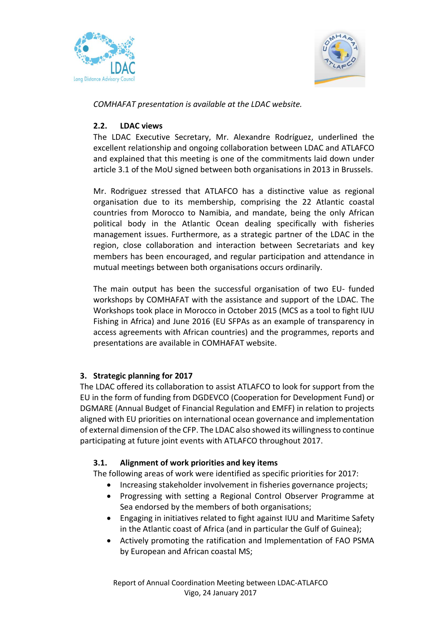



*COMHAFAT presentation is available at the LDAC website.*

### **2.2. LDAC views**

The LDAC Executive Secretary, Mr. Alexandre Rodríguez, underlined the excellent relationship and ongoing collaboration between LDAC and ATLAFCO and explained that this meeting is one of the commitments laid down under article 3.1 of the MoU signed between both organisations in 2013 in Brussels.

Mr. Rodriguez stressed that ATLAFCO has a distinctive value as regional organisation due to its membership, comprising the 22 Atlantic coastal countries from Morocco to Namibia, and mandate, being the only African political body in the Atlantic Ocean dealing specifically with fisheries management issues. Furthermore, as a strategic partner of the LDAC in the region, close collaboration and interaction between Secretariats and key members has been encouraged, and regular participation and attendance in mutual meetings between both organisations occurs ordinarily.

The main output has been the successful organisation of two EU- funded workshops by COMHAFAT with the assistance and support of the LDAC. The Workshops took place in Morocco in October 2015 (MCS as a tool to fight IUU Fishing in Africa) and June 2016 (EU SFPAs as an example of transparency in access agreements with African countries) and the programmes, reports and presentations are available in COMHAFAT website.

# **3. Strategic planning for 2017**

The LDAC offered its collaboration to assist ATLAFCO to look for support from the EU in the form of funding from DGDEVCO (Cooperation for Development Fund) or DGMARE (Annual Budget of Financial Regulation and EMFF) in relation to projects aligned with EU priorities on international ocean governance and implementation of external dimension of the CFP. The LDAC also showed its willingnessto continue participating at future joint events with ATLAFCO throughout 2017.

### **3.1. Alignment of work priorities and key items**

The following areas of work were identified as specific priorities for 2017:

- Increasing stakeholder involvement in fisheries governance projects;
- Progressing with setting a Regional Control Observer Programme at Sea endorsed by the members of both organisations;
- Engaging in initiatives related to fight against IUU and Maritime Safety in the Atlantic coast of Africa (and in particular the Gulf of Guinea);
- Actively promoting the ratification and Implementation of FAO PSMA by European and African coastal MS;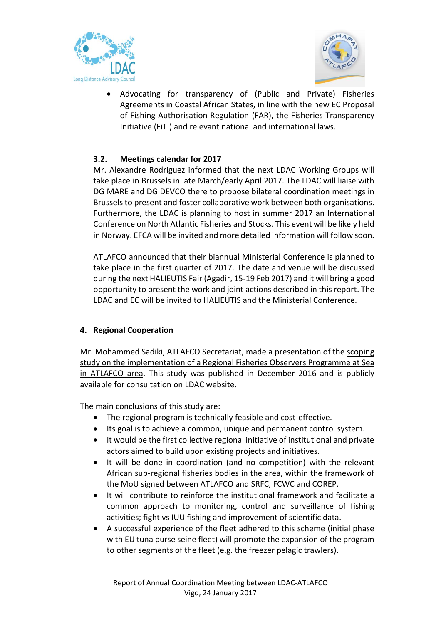



 Advocating for transparency of (Public and Private) Fisheries Agreements in Coastal African States, in line with the new EC Proposal of Fishing Authorisation Regulation (FAR), the Fisheries Transparency Initiative (FiTI) and relevant national and international laws.

# **3.2. Meetings calendar for 2017**

Mr. Alexandre Rodriguez informed that the next LDAC Working Groups will take place in Brussels in late March/early April 2017. The LDAC will liaise with DG MARE and DG DEVCO there to propose bilateral coordination meetings in Brussels to present and foster collaborative work between both organisations. Furthermore, the LDAC is planning to host in summer 2017 an International Conference on North Atlantic Fisheries and Stocks. This event will be likely held in Norway. EFCA will be invited and more detailed information will follow soon.

ATLAFCO announced that their biannual Ministerial Conference is planned to take place in the first quarter of 2017. The date and venue will be discussed during the next HALIEUTIS Fair (Agadir, 15-19 Feb 2017) and it will bring a good opportunity to present the work and joint actions described in this report. The LDAC and EC will be invited to HALIEUTIS and the Ministerial Conference.

### **4. Regional Cooperation**

Mr. Mohammed Sadiki, ATLAFCO Secretariat, made a presentation of the scoping study on the implementation of a Regional Fisheries Observers Programme at Sea in ATLAFCO area. This study was published in December 2016 and is publicly available for consultation on LDAC website.

The main conclusions of this study are:

- The regional program is technically feasible and cost-effective.
- Its goal is to achieve a common, unique and permanent control system.
- It would be the first collective regional initiative of institutional and private actors aimed to build upon existing projects and initiatives.
- It will be done in coordination (and no competition) with the relevant African sub-regional fisheries bodies in the area, within the framework of the MoU signed between ATLAFCO and SRFC, FCWC and COREP.
- It will contribute to reinforce the institutional framework and facilitate a common approach to monitoring, control and surveillance of fishing activities; fight vs IUU fishing and improvement of scientific data.
- A successful experience of the fleet adhered to this scheme (initial phase with EU tuna purse seine fleet) will promote the expansion of the program to other segments of the fleet (e.g. the freezer pelagic trawlers).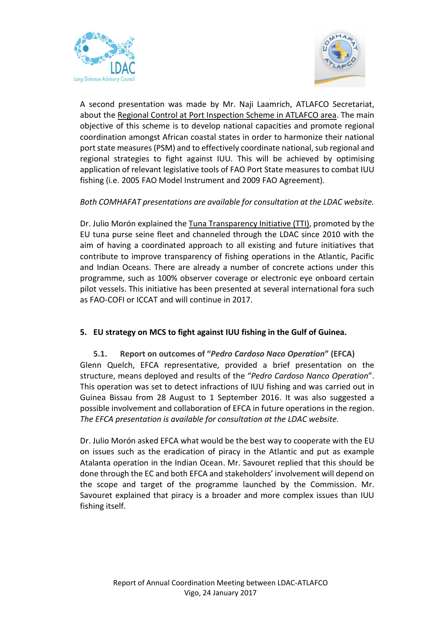



A second presentation was made by Mr. Naji Laamrich, ATLAFCO Secretariat, about the Regional Control at Port Inspection Scheme in ATLAFCO area. The main objective of this scheme is to develop national capacities and promote regional coordination amongst African coastal states in order to harmonize their national port state measures(PSM) and to effectively coordinate national, sub regional and regional strategies to fight against IUU. This will be achieved by optimising application of relevant legislative tools of FAO Port State measures to combat IUU fishing (i.e. 2005 FAO Model Instrument and 2009 FAO Agreement).

### *Both COMHAFAT presentations are available for consultation at the LDAC website.*

Dr. Julio Morón explained the Tuna Transparency Initiative (TTI), promoted by the EU tuna purse seine fleet and channeled through the LDAC since 2010 with the aim of having a coordinated approach to all existing and future initiatives that contribute to improve transparency of fishing operations in the Atlantic, Pacific and Indian Oceans. There are already a number of concrete actions under this programme, such as 100% observer coverage or electronic eye onboard certain pilot vessels. This initiative has been presented at several international fora such as FAO-COFI or ICCAT and will continue in 2017.

#### **5. EU strategy on MCS to fight against IUU fishing in the Gulf of Guinea.**

**5.1. Report on outcomes of "***Pedro Cardoso Naco Operation***" (EFCA)** Glenn Quelch, EFCA representative, provided a brief presentation on the structure, means deployed and results of the "*Pedro Cardoso Nanco Operation*". This operation was set to detect infractions of IUU fishing and was carried out in Guinea Bissau from 28 August to 1 September 2016. It was also suggested a possible involvement and collaboration of EFCA in future operations in the region. *The EFCA presentation is available for consultation at the LDAC website.*

Dr. Julio Morón asked EFCA what would be the best way to cooperate with the EU on issues such as the eradication of piracy in the Atlantic and put as example Atalanta operation in the Indian Ocean. Mr. Savouret replied that this should be done through the EC and both EFCA and stakeholders' involvement will depend on the scope and target of the programme launched by the Commission. Mr. Savouret explained that piracy is a broader and more complex issues than IUU fishing itself.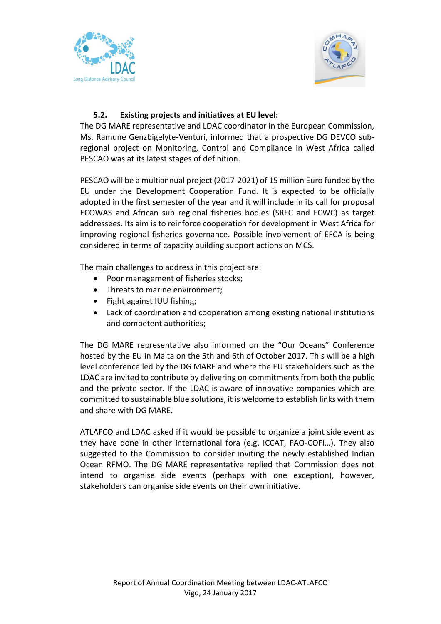



# **5.2. Existing projects and initiatives at EU level:**

The DG MARE representative and LDAC coordinator in the European Commission, Ms. Ramune Genzbigelyte-Venturi, informed that a prospective DG DEVCO subregional project on Monitoring, Control and Compliance in West Africa called PESCAO was at its latest stages of definition.

PESCAO will be a multiannual project (2017-2021) of 15 million Euro funded by the EU under the Development Cooperation Fund. It is expected to be officially adopted in the first semester of the year and it will include in its call for proposal ECOWAS and African sub regional fisheries bodies (SRFC and FCWC) as target addressees. Its aim is to reinforce cooperation for development in West Africa for improving regional fisheries governance. Possible involvement of EFCA is being considered in terms of capacity building support actions on MCS.

The main challenges to address in this project are:

- Poor management of fisheries stocks;
- Threats to marine environment;
- Fight against IUU fishing;
- Lack of coordination and cooperation among existing national institutions and competent authorities;

The DG MARE representative also informed on the "Our Oceans" Conference hosted by the EU in Malta on the 5th and 6th of October 2017. This will be a high level conference led by the DG MARE and where the EU stakeholders such as the LDAC are invited to contribute by delivering on commitments from both the public and the private sector. If the LDAC is aware of innovative companies which are committed to sustainable blue solutions, it is welcome to establish links with them and share with DG MARE.

ATLAFCO and LDAC asked if it would be possible to organize a joint side event as they have done in other international fora (e.g. ICCAT, FAO-COFI…). They also suggested to the Commission to consider inviting the newly established Indian Ocean RFMO. The DG MARE representative replied that Commission does not intend to organise side events (perhaps with one exception), however, stakeholders can organise side events on their own initiative.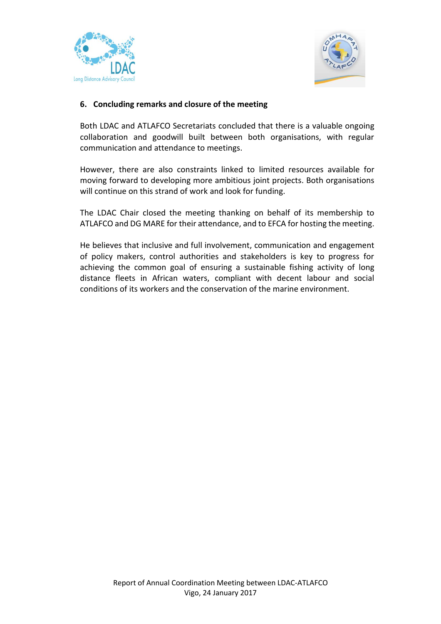



### **6. Concluding remarks and closure of the meeting**

Both LDAC and ATLAFCO Secretariats concluded that there is a valuable ongoing collaboration and goodwill built between both organisations, with regular communication and attendance to meetings.

However, there are also constraints linked to limited resources available for moving forward to developing more ambitious joint projects. Both organisations will continue on this strand of work and look for funding.

The LDAC Chair closed the meeting thanking on behalf of its membership to ATLAFCO and DG MARE for their attendance, and to EFCA for hosting the meeting.

He believes that inclusive and full involvement, communication and engagement of policy makers, control authorities and stakeholders is key to progress for achieving the common goal of ensuring a sustainable fishing activity of long distance fleets in African waters, compliant with decent labour and social conditions of its workers and the conservation of the marine environment.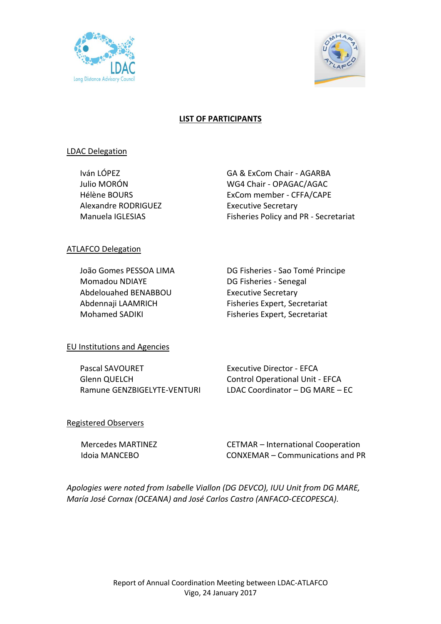



## **LIST OF PARTICIPANTS**

#### LDAC Delegation

Alexandre RODRIGUEZ Executive Secretary

Iván LÓPEZ GA & ExCom Chair - AGARBA Julio MORÓN WG4 Chair - OPAGAC/AGAC Hélène BOURS ExCom member - CFFA/CAPE Manuela IGLESIAS Fisheries Policy and PR - Secretariat

### ATLAFCO Delegation

Momadou NDIAYE DG Fisheries - Senegal Abdelouahed BENABBOU Executive Secretary

João Gomes PESSOA LIMA DG Fisheries - Sao Tomé Principe Abdennaji LAAMRICH Fisheries Expert, Secretariat Mohamed SADIKI Fisheries Expert, Secretariat

### EU Institutions and Agencies

Pascal SAVOURET Executive Director - EFCA Glenn QUELCH Control Operational Unit - EFCA

Ramune GENZBIGELYTE-VENTURI LDAC Coordinator – DG MARE – EC

### Registered Observers

 Mercedes MARTINEZ CETMAR – International Cooperation Idoia MANCEBO CONXEMAR – Communications and PR

*Apologies were noted from Isabelle Viallon (DG DEVCO), IUU Unit from DG MARE, María José Cornax (OCEANA) and José Carlos Castro (ANFACO-CECOPESCA).*